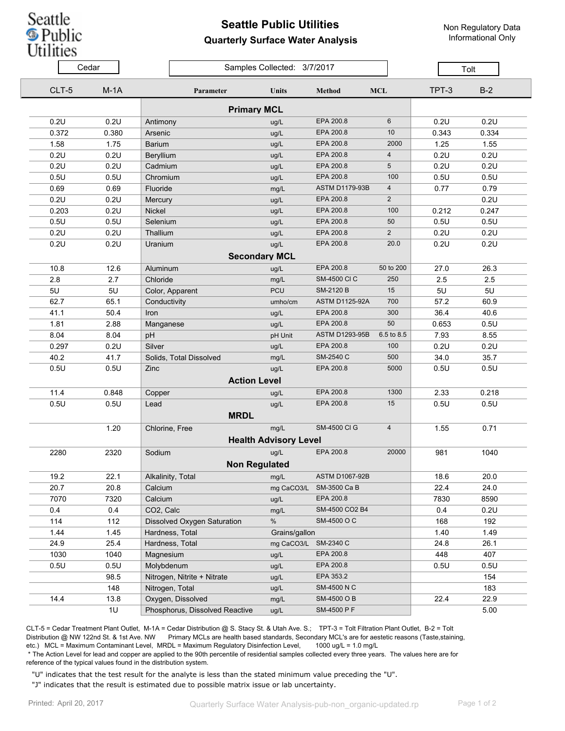## Seattle **D**<br>Public<br>Utilities

## **Seattle Public Utilities Quarterly Surface Water Analysis**

Non Regulatory Data Informational Only

|       | Cedar              | Samples Collected: 3/7/2017      |                              |                       |                 | Tolt  |       |  |  |  |  |  |
|-------|--------------------|----------------------------------|------------------------------|-----------------------|-----------------|-------|-------|--|--|--|--|--|
| CLT-5 | $M-1A$             | Parameter                        | Units                        | <b>Method</b>         | <b>MCL</b>      | TPT-3 | $B-2$ |  |  |  |  |  |
|       | <b>Primary MCL</b> |                                  |                              |                       |                 |       |       |  |  |  |  |  |
| 0.2U  | 0.2U               | Antimony                         | ug/L                         | EPA 200.8             | 6               | 0.2U  | 0.2U  |  |  |  |  |  |
| 0.372 | 0.380              | Arsenic                          | ug/L                         | EPA 200.8             | 10 <sup>1</sup> | 0.343 | 0.334 |  |  |  |  |  |
| 1.58  | 1.75               | <b>Barium</b>                    | ug/L                         | EPA 200.8             | 2000            | 1.25  | 1.55  |  |  |  |  |  |
| 0.2U  | 0.2U               | Beryllium                        | ug/L                         | EPA 200.8             | $\overline{4}$  | 0.2U  | 0.2U  |  |  |  |  |  |
| 0.2U  | 0.2U               | Cadmium                          | ug/L                         | EPA 200.8             | 5               | 0.2U  | 0.2U  |  |  |  |  |  |
| 0.5U  | 0.5U               | Chromium                         | ug/L                         | EPA 200.8             | 100             | 0.5U  | 0.5U  |  |  |  |  |  |
| 0.69  | 0.69               | Fluoride                         | mg/L                         | <b>ASTM D1179-93B</b> | 4               | 0.77  | 0.79  |  |  |  |  |  |
| 0.2U  | 0.2U               | Mercury                          | ug/L                         | EPA 200.8             | $\overline{2}$  |       | 0.2U  |  |  |  |  |  |
| 0.203 | 0.2U               | Nickel                           | ug/L                         | EPA 200.8             | 100             | 0.212 | 0.247 |  |  |  |  |  |
| 0.5U  | 0.5U               | Selenium                         | ug/L                         | EPA 200.8             | 50              | 0.5U  | 0.5U  |  |  |  |  |  |
| 0.2U  | 0.2U               | Thallium                         | ug/L                         | EPA 200.8             | $\overline{2}$  | 0.2U  | 0.2U  |  |  |  |  |  |
| 0.2U  | 0.2U               | Uranium                          | ug/L                         | EPA 200.8             | 20.0            | 0.2U  | 0.2U  |  |  |  |  |  |
|       |                    | <b>Secondary MCL</b>             |                              |                       |                 |       |       |  |  |  |  |  |
| 10.8  | 12.6               | Aluminum                         | ug/L                         | EPA 200.8             | 50 to 200       | 27.0  | 26.3  |  |  |  |  |  |
| 2.8   | 2.7                | Chloride                         | mg/L                         | <b>SM-4500 CI C</b>   | 250             | 2.5   | 2.5   |  |  |  |  |  |
| 5U    | 5U                 | Color, Apparent                  | PCU                          | <b>SM-2120 B</b>      | 15              | 5U    | 5U    |  |  |  |  |  |
| 62.7  | 65.1               | Conductivity                     | umho/cm                      | <b>ASTM D1125-92A</b> | 700             | 57.2  | 60.9  |  |  |  |  |  |
| 41.1  | 50.4               | Iron                             | ug/L                         | EPA 200.8             | 300             | 36.4  | 40.6  |  |  |  |  |  |
| 1.81  | 2.88               | Manganese                        | ug/L                         | EPA 200.8             | 50              | 0.653 | 0.5U  |  |  |  |  |  |
| 8.04  | 8.04               | pH                               | pH Unit                      | <b>ASTM D1293-95B</b> | 6.5 to 8.5      | 7.93  | 8.55  |  |  |  |  |  |
| 0.297 | 0.2U               | Silver                           | ug/L                         | EPA 200.8             | 100             | 0.2U  | 0.2U  |  |  |  |  |  |
| 40.2  | 41.7               | Solids, Total Dissolved          | mg/L                         | SM-2540 C             | 500             | 34.0  | 35.7  |  |  |  |  |  |
| 0.5U  | 0.5U               | Zinc                             | ug/L                         | EPA 200.8             | 5000            | 0.5U  | 0.5U  |  |  |  |  |  |
|       |                    | <b>Action Level</b>              |                              |                       |                 |       |       |  |  |  |  |  |
| 11.4  | 0.848              | Copper                           | ug/L                         | EPA 200.8             | 1300            | 2.33  | 0.218 |  |  |  |  |  |
| 0.5U  | 0.5U               | Lead                             | ug/L                         | EPA 200.8             | 15              | 0.5U  | 0.5U  |  |  |  |  |  |
|       |                    | <b>MRDL</b>                      |                              |                       |                 |       |       |  |  |  |  |  |
|       | 1.20               | Chlorine, Free                   | mg/L                         | <b>SM-4500 CI G</b>   | $\overline{4}$  | 1.55  | 0.71  |  |  |  |  |  |
|       |                    |                                  | <b>Health Advisory Level</b> |                       |                 |       |       |  |  |  |  |  |
| 2280  | 2320               | Sodium                           | ug/L                         | EPA 200.8             | 20000           | 981   | 1040  |  |  |  |  |  |
|       |                    | <b>Non Regulated</b>             |                              |                       |                 |       |       |  |  |  |  |  |
| 19.2  | 22.1               | Alkalinity, Total                | mg/L                         | <b>ASTM D1067-92B</b> |                 | 18.6  | 20.0  |  |  |  |  |  |
| 20.7  | 20.8               | Calcium                          | mg CaCO3/L                   | SM-3500 Ca B          |                 | 22.4  | 24.0  |  |  |  |  |  |
| 7070  | 7320               | Calcium                          | ug/L                         | EPA 200.8             |                 | 7830  | 8590  |  |  |  |  |  |
| 0.4   | 0.4                | CO2, Calc                        | mg/L                         | SM-4500 CO2 B4        |                 | 0.4   | 0.2U  |  |  |  |  |  |
| 114   | 112                | Dissolved Oxygen Saturation      | $\%$                         | SM-4500 O C           |                 | 168   | 192   |  |  |  |  |  |
| 1.44  | 1.45               | Hardness, Total<br>Grains/gallon |                              | 1.40                  | 1.49            |       |       |  |  |  |  |  |
| 24.9  | 25.4               | Hardness, Total                  | mg CaCO3/L SM-2340 C         |                       |                 | 24.8  | 26.1  |  |  |  |  |  |
| 1030  | 1040               | Magnesium                        | ug/L                         | EPA 200.8             |                 | 448   | 407   |  |  |  |  |  |
| 0.5U  | 0.5U               | Molybdenum                       | ug/L                         | EPA 200.8             |                 | 0.5U  | 0.5U  |  |  |  |  |  |
|       | 98.5               | Nitrogen, Nitrite + Nitrate      | ug/L                         | EPA 353.2             |                 |       | 154   |  |  |  |  |  |
|       | 148                | Nitrogen, Total                  | ug/L                         | SM-4500 N C           |                 |       | 183   |  |  |  |  |  |
| 14.4  | 13.8               | Oxygen, Dissolved                | mg/L                         | SM-4500 O B           |                 | 22.4  | 22.9  |  |  |  |  |  |
|       | 1U                 | Phosphorus, Dissolved Reactive   | ug/L                         | SM-4500 P F           |                 |       | 5.00  |  |  |  |  |  |

CLT-5 = Cedar Treatment Plant Outlet, M-1A = Cedar Distribution @ S. Stacy St. & Utah Ave. S.; TPT-3 = Tolt Filtration Plant Outlet, B-2 = Tolt Distribution @ NW 122nd St. & 1st Ave. NW Primary MCLs are health based standards, Secondary MCL's are for aestetic reasons (Taste,staining, etc.) MCL = Maximum Contaminant Level, MRDL = Maximum Regulatory Disinfection Level, 1000 ug/L = 1.0 mg/L

 \* The Action Level for lead and copper are applied to the 90th percentile of residential samples collected every three years. The values here are for reference of the typical values found in the distribution system.

"U" indicates that the test result for the analyte is less than the stated minimum value preceding the "U".

"J" indicates that the result is estimated due to possible matrix issue or lab uncertainty.